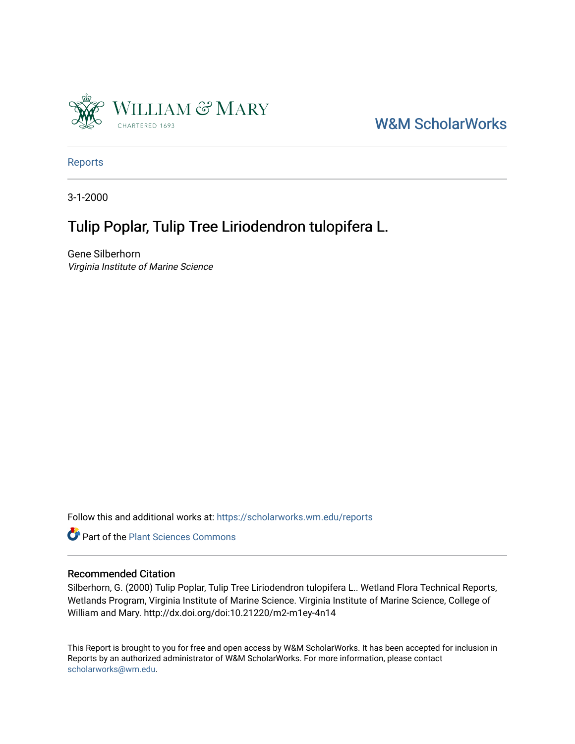

### [W&M ScholarWorks](https://scholarworks.wm.edu/)

[Reports](https://scholarworks.wm.edu/reports)

3-1-2000

## Tulip Poplar, Tulip Tree Liriodendron tulopifera L.

Gene Silberhorn Virginia Institute of Marine Science

Follow this and additional works at: [https://scholarworks.wm.edu/reports](https://scholarworks.wm.edu/reports?utm_source=scholarworks.wm.edu%2Freports%2F447&utm_medium=PDF&utm_campaign=PDFCoverPages)



#### Recommended Citation

Silberhorn, G. (2000) Tulip Poplar, Tulip Tree Liriodendron tulopifera L.. Wetland Flora Technical Reports, Wetlands Program, Virginia Institute of Marine Science. Virginia Institute of Marine Science, College of William and Mary. http://dx.doi.org/doi:10.21220/m2-m1ey-4n14

This Report is brought to you for free and open access by W&M ScholarWorks. It has been accepted for inclusion in Reports by an authorized administrator of W&M ScholarWorks. For more information, please contact [scholarworks@wm.edu.](mailto:scholarworks@wm.edu)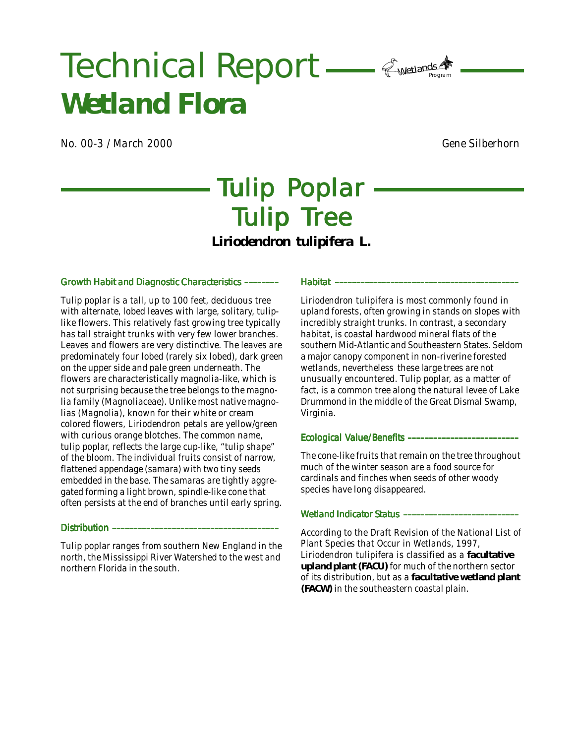# Wetlands<br>Refer Technical Report - Presidents A *Wetland Flora*

*No. 00-3 / March 2000 Gene Silberhorn*

# Tulip Poplar Tulip Tree *Liriodendron tulipifera* **L.**

#### Growth Habit and Diagnostic Characteristics ––––––––

Tulip poplar is a tall, up to 100 feet, deciduous tree with alternate, lobed leaves with large, solitary, tuliplike flowers. This relatively fast growing tree typically has tall straight trunks with very few lower branches. Leaves and flowers are very distinctive. The leaves are predominately four lobed (rarely six lobed), dark green on the upper side and pale green underneath. The flowers are characteristically magnolia-like, which is not surprising because the tree belongs to the magnolia family (Magnoliaceae). Unlike most native magnolias (*Magnolia),* known for their white or cream colored flowers, *Liriodendron* petals are yellow/green with curious orange blotches. The common name, tulip poplar, reflects the large cup-like, "tulip shape" of the bloom. The individual fruits consist of narrow, flattened appendage (samara) with two tiny seeds embedded in the base. The samaras are tightly aggregated forming a light brown, spindle-like cone that often persists at the end of branches until early spring.

#### Distribution ––

Tulip poplar ranges from southern New England in the north, the Mississippi River Watershed to the west and northern Florida in the south.

#### Habitat –––––––––––––––––––––––––––––––––––––––––––

*Liriodendron tulipifera* is most commonly found in upland forests, often growing in stands on slopes with incredibly straight trunks. In contrast, a secondary habitat, is coastal hardwood mineral flats of the southern Mid-Atlantic and Southeastern States. Seldom a major canopy component in non-riverine forested wetlands, nevertheless these large trees are not unusually encountered. Tulip poplar, as a matter of fact, is a common tree along the natural levee of Lake Drummond in the middle of the Great Dismal Swamp, Virginia.

#### Ecological Value/Benefits ––––––––––––––––––––––––––

The cone-like fruits that remain on the tree throughout much of the winter season are a food source for cardinals and finches when seeds of other woody species have long disappeared.

#### Wetland Indicator Status ---

According to the *Draft Revision of the National List of Plant Species that Occur in Wetlands, 1997, Liriodendron tulipifera* is classified as a **facultative upland plant (FACU)** for much of the northern sector of its distribution, but as a **facultative wetland plant (FACW)** in the southeastern coastal plain.